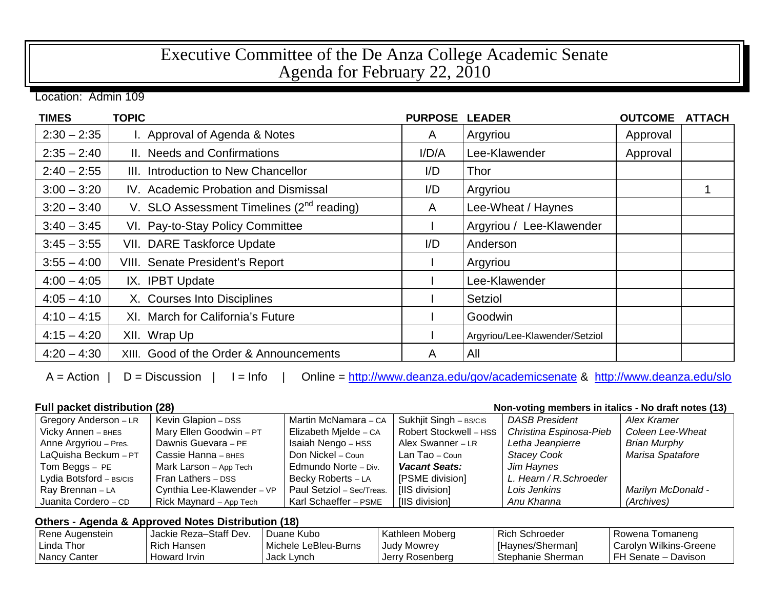## Executive Committee of the De Anza College Academic Senate Agenda for February 22, 2010

Location: Admin 109

| <b>TIMES</b>  | <b>TOPIC</b>                                   | <b>PURPOSE</b> | <b>LEADER</b>                  | <b>OUTCOME</b> | <b>ATTACH</b> |
|---------------|------------------------------------------------|----------------|--------------------------------|----------------|---------------|
| $2:30 - 2:35$ | I. Approval of Agenda & Notes                  | A              | Argyriou                       | Approval       |               |
| $2:35 - 2:40$ | II. Needs and Confirmations                    | I/D/A          | Lee-Klawender                  | Approval       |               |
| $2:40 - 2:55$ | III. Introduction to New Chancellor            | I/D            | Thor                           |                |               |
| $3:00 - 3:20$ | IV. Academic Probation and Dismissal           | I/D            | Argyriou                       |                |               |
| $3:20 - 3:40$ | V. SLO Assessment Timelines $(2^{nd}$ reading) | A              | Lee-Wheat / Haynes             |                |               |
| $3:40 - 3:45$ | VI. Pay-to-Stay Policy Committee               |                | Argyriou / Lee-Klawender       |                |               |
| $3:45 - 3:55$ | VII. DARE Taskforce Update                     | I/D            | Anderson                       |                |               |
| $3:55 - 4:00$ | VIII. Senate President's Report                |                | Argyriou                       |                |               |
| $4:00 - 4:05$ | IX. IPBT Update                                |                | Lee-Klawender                  |                |               |
| $4:05 - 4:10$ | X. Courses Into Disciplines                    |                | Setziol                        |                |               |
| $4:10 - 4:15$ | XI. March for California's Future              |                | Goodwin                        |                |               |
| $4:15 - 4:20$ | XII. Wrap Up                                   |                | Argyriou/Lee-Klawender/Setziol |                |               |
| $4:20 - 4:30$ | XIII. Good of the Order & Announcements        | A              | All                            |                |               |

A = Action | D = Discussion | I = Info | Online =<http://www.deanza.edu/gov/academicsenate> & <http://www.deanza.edu/slo>

**Full packet distribution (28) Non-voting members in italics - No draft notes (13)**

| Gregory Anderson - LR   | Kevin Glapion - DSS        | Martin McNamara - CA      | Sukhjit Singh - BS/CIS | <b>DASB President</b>   | Alex Kramer               |
|-------------------------|----------------------------|---------------------------|------------------------|-------------------------|---------------------------|
| Vicky Annen - внеs      | Mary Ellen Goodwin - PT    | Elizabeth Mjelde - CA     | Robert Stockwell - HSS | Christina Espinosa-Pieb | Coleen Lee-Wheat          |
| Anne Argyriou - Pres.   | Dawnis Guevara - PE        | Isaiah Nengo - HSS        | Alex Swanner - LR      | Letha Jeanpierre        | <b>Brian Murphy</b>       |
| LaQuisha Beckum - PT    | Cassie Hanna - внез        | Don Nickel – Coun         | Lan Tao – Coun         | <b>Stacey Cook</b>      | Marisa Spatafore          |
| Tom Beggs - PE          | Mark Larson - App Tech     | Edmundo Norte - Div.      | <b>Vacant Seats:</b>   | Jim Haynes              |                           |
| Lydia Botsford - BS/CIS | Fran Lathers - DSS         | Becky Roberts - LA        | [PSME division]        | L. Hearn / R. Schroeder |                           |
| Ray Brennan - LA        | Cynthia Lee-Klawender - VP | Paul Setziol - Sec/Treas. | [IIS division]         | Lois Jenkins            | <b>Marilyn McDonald -</b> |
| Juanita Cordero - CD    | Rick Maynard - App Tech    | Karl Schaeffer - PSME     | [IIS division]         | Anu Khanna              | (Archives)                |

## **Others - Agenda & Approved Notes Distribution (18)**

| Rene Augenstein | Jackie Reza-Staff Dev. | Duane Kubo           | Kathleen Moberg    | <b>Rich Schroeder</b> | Rowena Tomaneng        |
|-----------------|------------------------|----------------------|--------------------|-----------------------|------------------------|
| l Linda Thor    | <b>Rich Hansen</b>     | Michele LeBleu-Burns | <b>Judy Mowrey</b> | [Haynes/Sherman]      | Carolyn Wilkins-Greene |
| Nancy Canter    | Howard Irvin           | Jack Lynch           | Jerry Rosenberg    | Stephanie Sherman     | FH Senate - Davison    |